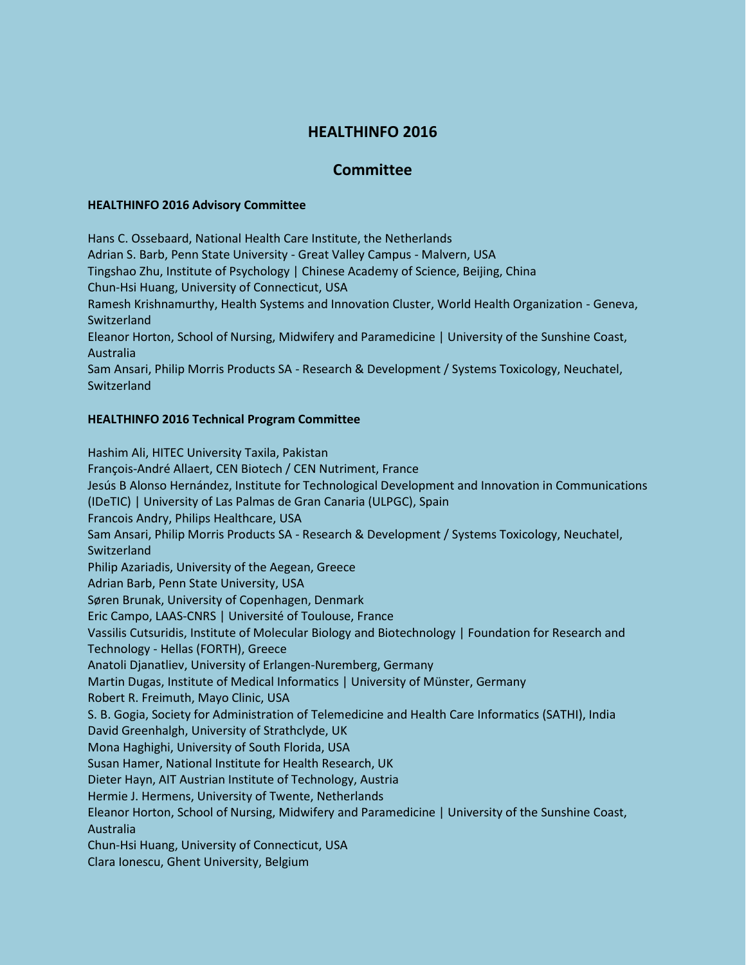## **HEALTHINFO 2016**

## **Committee**

## **HEALTHINFO 2016 Advisory Committee**

Hans C. Ossebaard, National Health Care Institute, the Netherlands Adrian S. Barb, Penn State University - Great Valley Campus - Malvern, USA Tingshao Zhu, Institute of Psychology | Chinese Academy of Science, Beijing, China Chun-Hsi Huang, University of Connecticut, USA Ramesh Krishnamurthy, Health Systems and Innovation Cluster, World Health Organization - Geneva, Switzerland Eleanor Horton, School of Nursing, Midwifery and Paramedicine | University of the Sunshine Coast, Australia Sam Ansari, Philip Morris Products SA - Research & Development / Systems Toxicology, Neuchatel, Switzerland

## **HEALTHINFO 2016 Technical Program Committee**

Hashim Ali, HITEC University Taxila, Pakistan François-André Allaert, CEN Biotech / CEN Nutriment, France Jesús B Alonso Hernández, Institute for Technological Development and Innovation in Communications (IDeTIC) | University of Las Palmas de Gran Canaria (ULPGC), Spain Francois Andry, Philips Healthcare, USA Sam Ansari, Philip Morris Products SA - Research & Development / Systems Toxicology, Neuchatel, Switzerland Philip Azariadis, University of the Aegean, Greece Adrian Barb, Penn State University, USA Søren Brunak, University of Copenhagen, Denmark Eric Campo, LAAS-CNRS | Université of Toulouse, France Vassilis Cutsuridis, Institute of Molecular Biology and Biotechnology | Foundation for Research and Technology - Hellas (FORTH), Greece Anatoli Djanatliev, University of Erlangen-Nuremberg, Germany Martin Dugas, Institute of Medical Informatics | University of Münster, Germany Robert R. Freimuth, Mayo Clinic, USA S. B. Gogia, Society for Administration of Telemedicine and Health Care Informatics (SATHI), India David Greenhalgh, University of Strathclyde, UK Mona Haghighi, University of South Florida, USA Susan Hamer, National Institute for Health Research, UK Dieter Hayn, AIT Austrian Institute of Technology, Austria Hermie J. Hermens, University of Twente, Netherlands Eleanor Horton, School of Nursing, Midwifery and Paramedicine | University of the Sunshine Coast, Australia Chun-Hsi Huang, University of Connecticut, USA Clara Ionescu, Ghent University, Belgium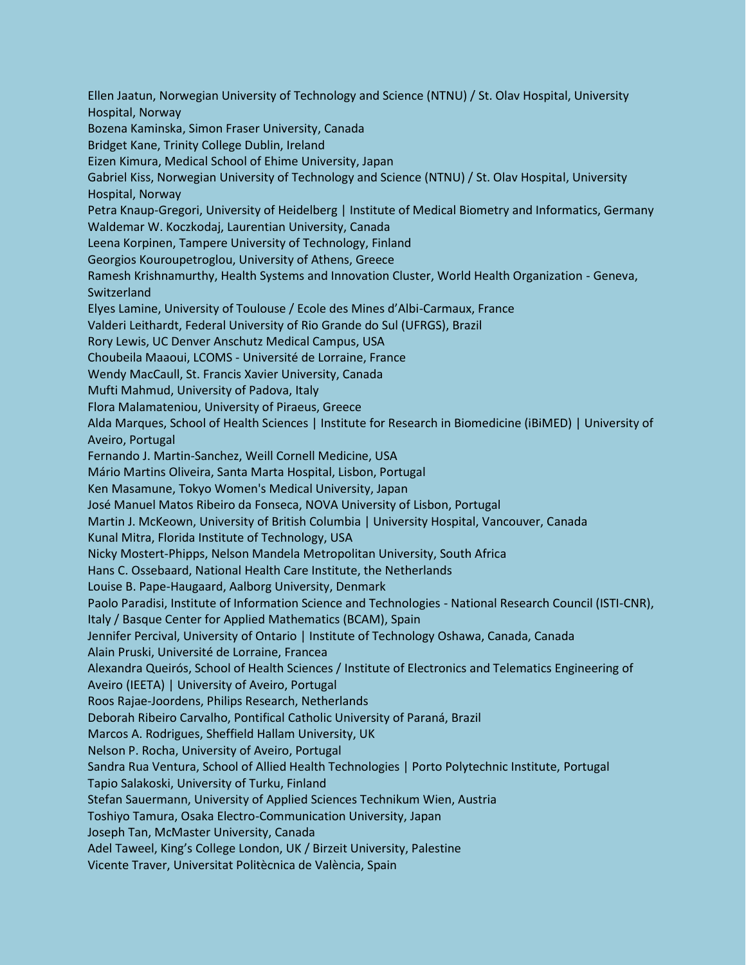Ellen Jaatun, Norwegian University of Technology and Science (NTNU) / St. Olav Hospital, University Hospital, Norway Bozena Kaminska, Simon Fraser University, Canada Bridget Kane, Trinity College Dublin, Ireland Eizen Kimura, Medical School of Ehime University, Japan Gabriel Kiss, Norwegian University of Technology and Science (NTNU) / St. Olav Hospital, University Hospital, Norway Petra Knaup-Gregori, University of Heidelberg | Institute of Medical Biometry and Informatics, Germany Waldemar W. Koczkodaj, Laurentian University, Canada Leena Korpinen, Tampere University of Technology, Finland Georgios Kouroupetroglou, University of Athens, Greece Ramesh Krishnamurthy, Health Systems and Innovation Cluster, World Health Organization - Geneva, Switzerland Elyes Lamine, University of Toulouse / Ecole des Mines d'Albi-Carmaux, France Valderi Leithardt, Federal University of Rio Grande do Sul (UFRGS), Brazil Rory Lewis, UC Denver Anschutz Medical Campus, USA Choubeila Maaoui, LCOMS - Université de Lorraine, France Wendy MacCaull, St. Francis Xavier University, Canada Mufti Mahmud, University of Padova, Italy Flora Malamateniou, University of Piraeus, Greece Alda Marques, School of Health Sciences | Institute for Research in Biomedicine (iBiMED) | University of Aveiro, Portugal Fernando J. Martin-Sanchez, Weill Cornell Medicine, USA Mário Martins Oliveira, Santa Marta Hospital, Lisbon, Portugal Ken Masamune, Tokyo Women's Medical University, Japan José Manuel Matos Ribeiro da Fonseca, NOVA University of Lisbon, Portugal Martin J. McKeown, University of British Columbia | University Hospital, Vancouver, Canada Kunal Mitra, Florida Institute of Technology, USA Nicky Mostert-Phipps, Nelson Mandela Metropolitan University, South Africa Hans C. Ossebaard, National Health Care Institute, the Netherlands Louise B. Pape-Haugaard, Aalborg University, Denmark Paolo Paradisi, Institute of Information Science and Technologies - National Research Council (ISTI-CNR), Italy / Basque Center for Applied Mathematics (BCAM), Spain Jennifer Percival, University of Ontario | Institute of Technology Oshawa, Canada, Canada Alain Pruski, Université de Lorraine, Francea Alexandra Queirós, School of Health Sciences / Institute of Electronics and Telematics Engineering of Aveiro (IEETA) | University of Aveiro, Portugal Roos Rajae-Joordens, Philips Research, Netherlands Deborah Ribeiro Carvalho, Pontifical Catholic University of Paraná, Brazil Marcos A. Rodrigues, Sheffield Hallam University, UK Nelson P. Rocha, University of Aveiro, Portugal Sandra Rua Ventura, School of Allied Health Technologies | Porto Polytechnic Institute, Portugal Tapio Salakoski, University of Turku, Finland Stefan Sauermann, University of Applied Sciences Technikum Wien, Austria Toshiyo Tamura, Osaka Electro-Communication University, Japan Joseph Tan, McMaster University, Canada Adel Taweel, King's College London, UK / Birzeit University, Palestine Vicente Traver, Universitat Politècnica de València, Spain